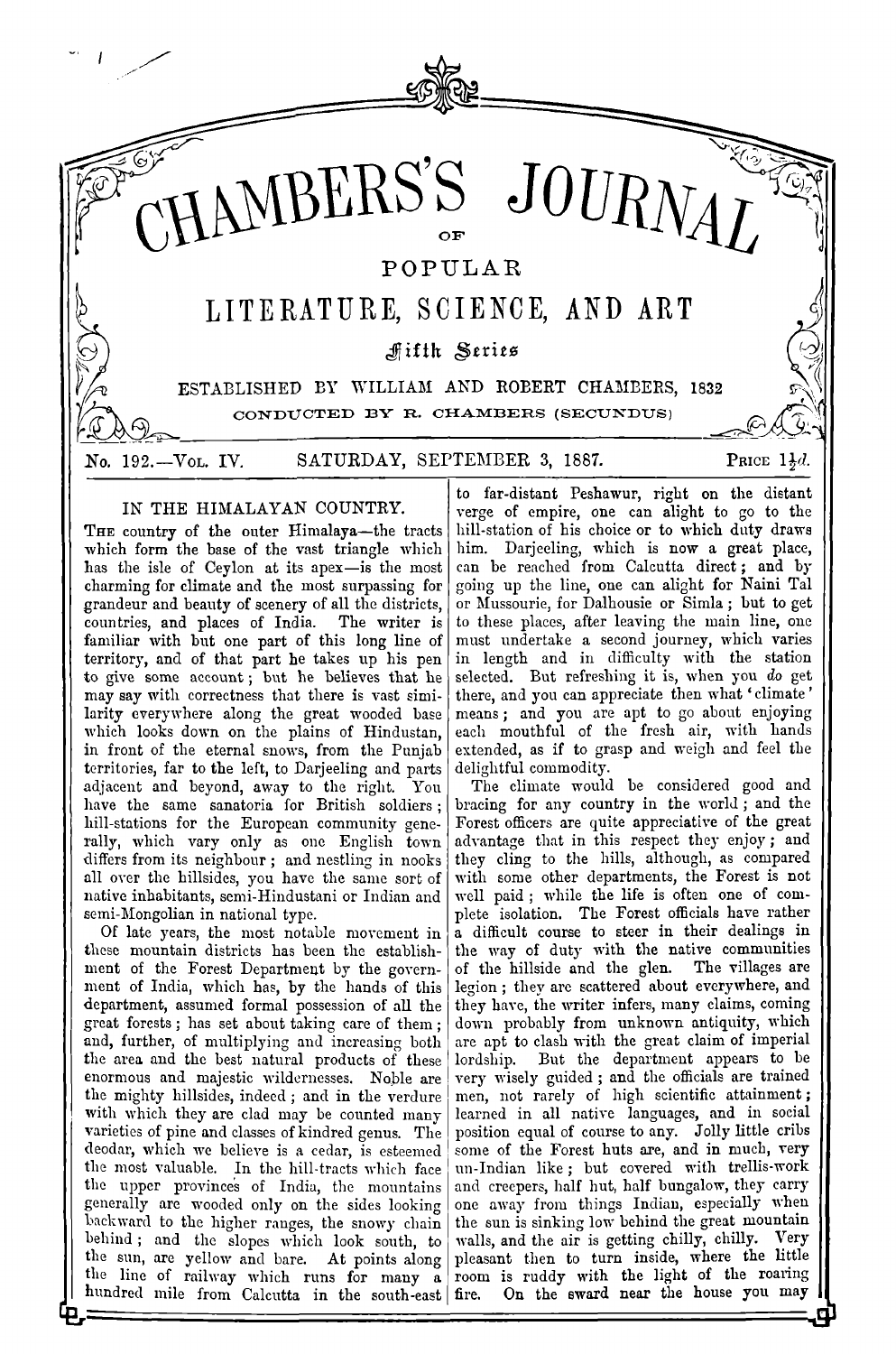

## IN THE HIMALAYAN COUNTRY.

THE country of the outer Himalaya-the tracts which form the base of the vast triangle which has the isle of Ceylon at its apex-is the most charming for climate and the most surpassing for grandeur and beauty of scenery of all the districts, countries, and places of India. The writer is familiar with but one part of this long line of territory, and of that part he takes up his pen to give some account; but he believes that he may say with correctness that there is vast similarity everywhere along the great wooded base which looks down on the plains of Hindustan, in front of the eternal snows, from the Punjab territories, far to the left, to Darjeeling and parts adjacent and beyond, away to the right. You have the same sanatoria for British soldiers; hill-stations for the European community generally, which vary only as one English town differs from its neighbour; and nestling in nooks all over the hillsides, you have the same sort of native inhabitants, semi-Hindustani or Indian and semi-Mongolian in national type.

Of late years, the most notable movement in these mountain districts has been the establishment of the Forest Department by the government of India, which has, by the hands of this department, assumed formal possession of all the great forests; has set about taking care of them; and, further, of multiplying and increasing both the area and the best natural products of these enormous and majestic wildernesses. Noble are the mighty hillsides, indeed; and in the verdure with which they are clad may be counted many varieties of pine and classes of kindred genus. The deodar, which we believe is a cedar, is esteemed the most valuable. In the hill-tracts which face the upper provinces of India, the mountains generally are wooded only on the sides looking backward to the higher ranges, the snowy chain behind; and the slopes which look south, to the sun, are yellow and bare. At points along the line of railway which runs for many a hundred mile from Calcutta in the south-east fire.

to far-distant Peshawur, right on the distant verge of empire, one can alight to go to the hill-station of his choice or to which duty draws him. Darjeeling, which is now a great place, can be reached from Calcutta direct; and by going up the line, one can alight for Naini Tal or Mussourie, for Dalhousie or Simla; but to get to these places, after leaving the main line, one must undertake a second journey, which varies in length and in difficulty with the station selected. But refreshing it is, when you do get there, and you can appreciate then what 'climate' means; and you are apt to go about enjoying each mouthful of the fresh air, with hands extended, as if to grasp and weigh and feel the delightful commodity.

The climate would be considered good and bracing for any country in the world; and the Forest officers are quite appreciative of the great advantage that in this respect they enjoy; and they cling to the hills, although, as compared with some other departments, the Forest is not well paid; while the life is often one of complete isolation. The Forest officials have rather a difficult course to steer in their dealings in the way of duty with the native communities of the hillside and the glen. The villages are legion; they are scattered about everywhere, and they have, the writer infers, many claims, coming down probably from unknown antiquity, which are apt to clash with the great claim of imperial But the department appears to be lordship. very wisely guided; and the officials are trained men, not rarely of high scientific attainment; learned in all native languages, and in social position equal of course to any. Jolly little cribs some of the Forest huts are, and in much, very un-Indian like; but covered with trellis-work and creepers, half hut, half bungalow, they carry one away from things Indian, especially when the sun is sinking low behind the great mountain walls, and the air is getting chilly, chilly. Very pleasant then to turn inside, where the little room is ruddy with the light of the roaring On the sward near the house you may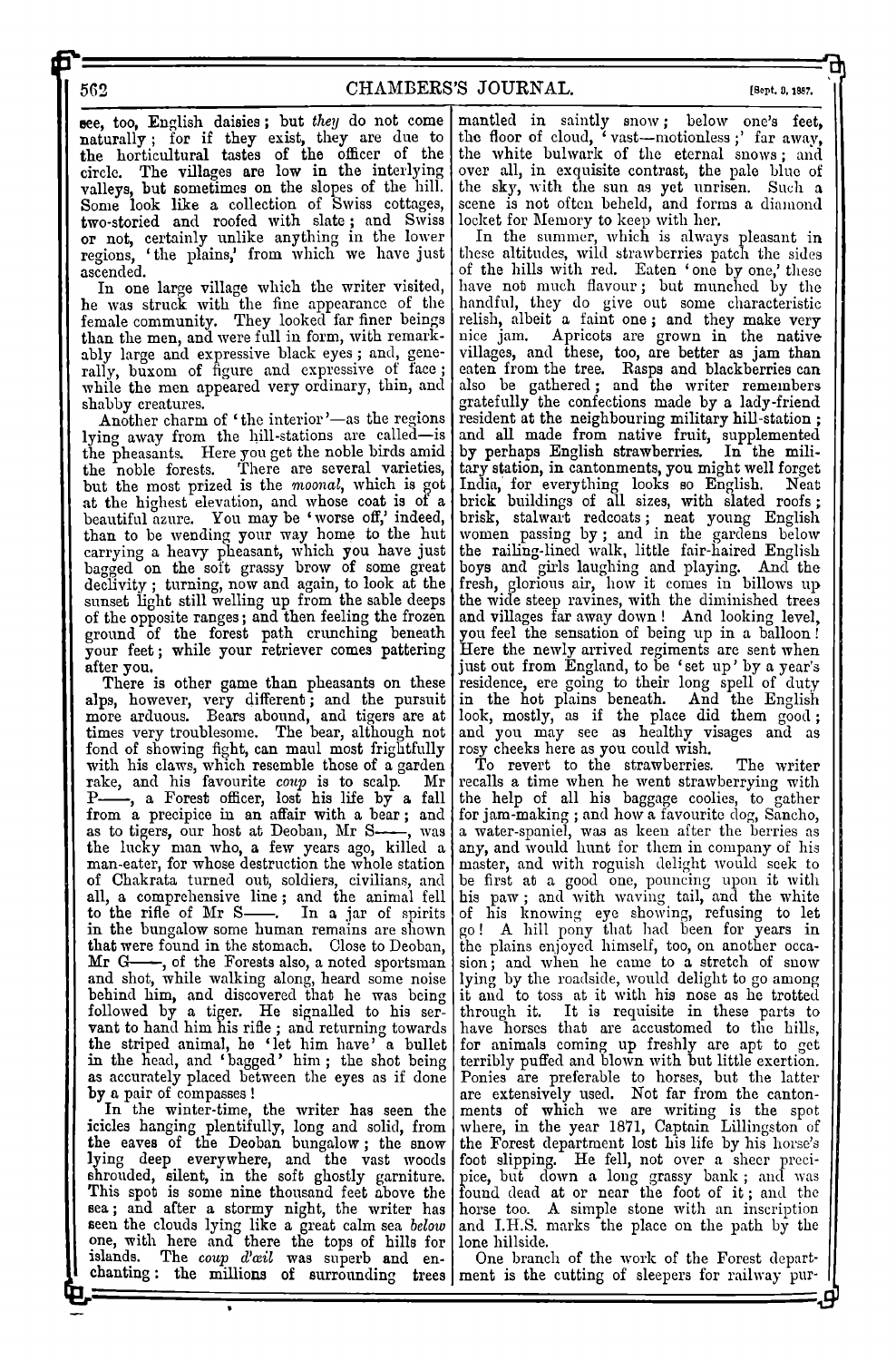## CHAMBERS'S JOURNAL.

[Sept. 0, 1887.

see, too, English daisies; but they do not come naturally; for if they exist, they are due to the horticultural tastes of the officer of the circle. The villages are low in the interlying valleys, but sometimes on the slopes of the hill. Some look like a collection of Swiss cottages, two-storied and roofed with slate; and Swiss or not, certainly unlike anything in the lower<br>regions, 'the plains,' from which we have just ascended.

In one large village which the writer visited, he was struck with the fine appearance of the female community. They looked far finer beings than the men, and were full in form, with remarkably large and expressive black eyes; and, generally, buxom of figure and expressive of face; while the men appeared very ordinary, thin, and shabby creatures.

Another charm of 'the interior'-as the regions lying away from the hill-stations are called-is the pheasants. Here you get the noble birds amid<br>the noble forests. There are several varieties, but the most prized is the moonal, which is got at the highest elevation, and whose coat is of a<br>beautiful azure. You may be 'worse off,' indeed, beautiful azure. You may be 'worse off,' than to be wending your way home to the hut<br>carrying a heavy pheasant, which you have just<br>bagged on the soft grassy brow of some great declivity; turning, now and again, to look at the sunset light still welling up from the sable deeps of the opposite ranges; and then feeling the frozen<br>ground of the forest path crunching beneath<br>your feet; while your retriever comes pattering after vou.

There is other game than pheasants on these alps, however, very different; and the pursuit more arduous. Bears abound, and tigers are at times very troublesome. The bear, although not fond of showing fight, can maul most frightfully with his claws, which resemble those of a garden<br>rake, and his favourite coup is to scalp. Mr<br>P—, a Forest officer, lost his life by a fall<br>from a precipice in an affair with a bear; and as to tigers, our host at Deoban, Mr Swas the lucky man who, a few years ago, killed a man-eater, for whose destruction the whole station of Chakrata turned out, soldiers, civilians, and all, a comprehensive line; and the animal fell to the rifle of Mr S-. In a jar of spirits in the bungalow some human remains are shown that were found in the stomach. Close to Deoban,  $Mr$   $G-$ -, of the Forests also, a noted sportsman and shot, while walking along, heard some noise behind him, and discovered that he was being followed by a tiger. He signalled to his servalue of the striped animal, he 'let him have' a bullet<br>in the head, and 'bagged' him; the shot being as accurately placed between the eyes as if done by a pair of compasses !

In the winter-time, the writer has seen the icides hanging plentifully, long and solid, from<br>the eaves of the Deoban bungalow; the snow<br>lying deep everywhere, and the vast woods<br>shroulded, silent, in the soft ghostly garniture. This spot is some nine thousand feet above the sea; and after a stormy night, the writer has seen the clouds lying like a great calm sea below one, with here and there the tops of hills for islands. The coup d'ail was superb and en-

mantled in saintly snow; below one's feet, the floor of cloud, 'vast-motionless;' far away, the white bulwark of the eternal snows; and over all, in exquisite contrast, the pale blue of the sky, with the sun as yet unrisen. Such a scene is not often beheld, and forms a diamond

locket for Memory to keep with her.<br>In the summer, which is always pleasant in<br>these altitudes, wild strawberries patch the sides of the hills with red. Eaten 'one by one,' these have not much flavour; but munched by the handful, they do give out some characteristic randiture, they do give our some characteristic<br>relish, albeit a faint one; and they make very<br>nice jam. Apricots are grown in the native<br>villages, and these, too, are better as jam than<br>eaten from the tree. Rasps and blac also be gathered; and the writer remembers gratefully the confections made by a lady-friend resident at the neighbouring military hill-station; and all made from native fruit, supplemented<br>by perhaps English strawberries. In the military station, in cantonments, you might well forget India, for everything looks so English. Neat brick buildings of all sizes, with slated roofs; brisk, stalwart redcoats; neat young English women passing by; and in the gardens below the railing-lined walk, little fair-haired English boys and girls laughing and playing. And the fresh, glorious air, how it comes in billows up the wide steep ravines, with the diminished trees and villages far away down! And looking level, you feel the sensation of being up in a balloon! Here the newly arrived regiments are sent when just out from England, to be 'set up' by a year's<br>residence, ere going to their long spell of duty<br>in the hot plains beneath. And the English<br>look, mostly, as if the place did them good; and you may see as healthy visages and as rosy cheeks here as you could wish.

To revert to the strawberries. The writer recalls a time when he went strawberrying with<br>the help of all his baggage coolies, to gather for jam-making ; and how a favourite dog, Sancho, a water-spaniel, was as keen after the berries as any, and would hunt for them in company of his master, and with roguish delight would seek to be first at a good one, pouncing upon it with<br>his paw; and with waving tail, and the white of his knowing eye showing, refusing to let go! A hill pony that had been for years in the plains enjoyed himself, too, on another occasion; and when he came to a stretch of snow lying by the roadside, would delight to go among it and to toss at it with his nose as he trotted through it. It is requisite in these parts to have horses that are accustomed to the hills, for animals coming up freshly are apt to get<br>terribly puffed and blown with but little exertion. Ponies are preferable to horses, but the latter are extensively used. Not far from the cantonments of which we are writing is the spot where, in the year 1871, Captain Lillingston of the Forest department lost his life by his horse's foot slipping. He fell, not over a sheer precipice, but down a long grassy bank; and was found dead at or near the foot of it; and the horse too. A simple stone with an inscription and I.H.S. marks the place on the path by the lone hillside.

One branch of the work of the Forest departchanting: the millions of surrounding trees ment is the cutting of sleepers for railway pur-

562